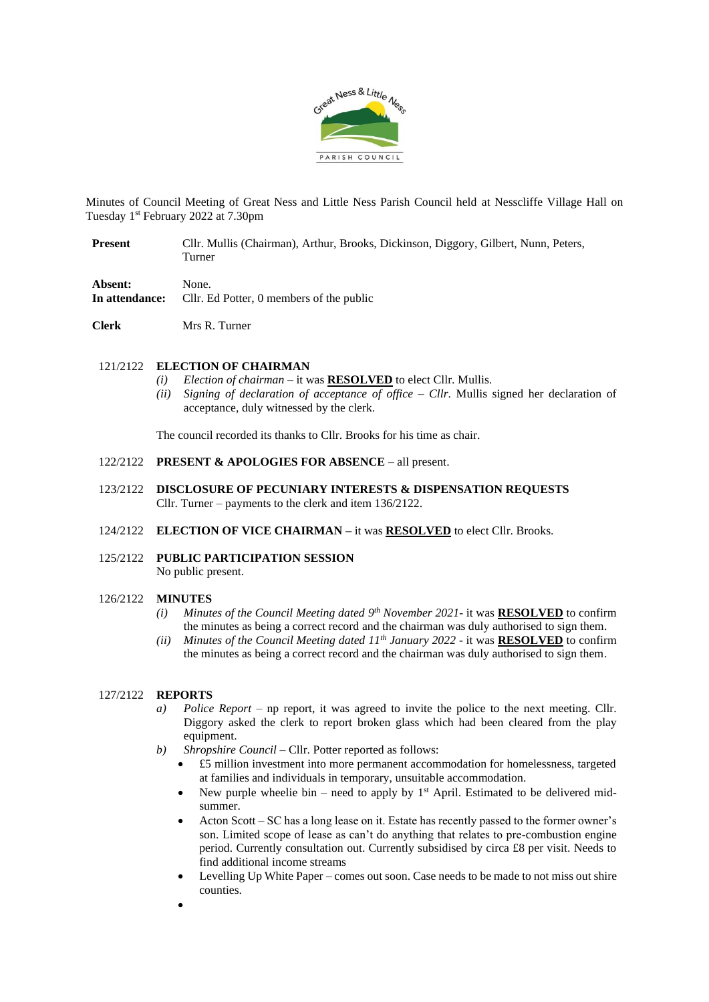

Minutes of Council Meeting of Great Ness and Little Ness Parish Council held at Nesscliffe Village Hall on Tuesday 1 st February 2022 at 7.30pm

- **Present** Cllr. Mullis (Chairman), Arthur, Brooks, Dickinson, Diggory, Gilbert, Nunn, Peters, Turner
- **Absent:** None.

**In attendance:** Cllr. Ed Potter, 0 members of the public

**Clerk** Mrs R. Turner

### 121/2122 **ELECTION OF CHAIRMAN**

- *(i) Election of chairman* it was **RESOLVED** to elect Cllr. Mullis.
- *(ii) Signing of declaration of acceptance of office – Cllr*. Mullis signed her declaration of acceptance, duly witnessed by the clerk*.*

The council recorded its thanks to Cllr. Brooks for his time as chair.

- 122/2122 **PRESENT & APOLOGIES FOR ABSENCE** all present.
- 123/2122 **DISCLOSURE OF PECUNIARY INTERESTS & DISPENSATION REQUESTS** Cllr. Turner – payments to the clerk and item 136/2122.
- 124/2122 **ELECTION OF VICE CHAIRMAN –** it was **RESOLVED** to elect Cllr. Brooks.
- 125/2122 **PUBLIC PARTICIPATION SESSION** No public present.

### 126/2122 **MINUTES**

- *(i) Minutes of the Council Meeting dated 9 th November 2021-* it was **RESOLVED** to confirm the minutes as being a correct record and the chairman was duly authorised to sign them.
- *(ii) Minutes of the Council Meeting dated 11th January 2022 -* it was **RESOLVED** to confirm the minutes as being a correct record and the chairman was duly authorised to sign them.

#### 127/2122 **REPORTS**

- *a*) *Police Report* np report, it was agreed to invite the police to the next meeting. Cllr. Diggory asked the clerk to report broken glass which had been cleared from the play equipment.
- *b) Shropshire Council*  Cllr. Potter reported as follows:
	- £5 million investment into more permanent accommodation for homelessness, targeted at families and individuals in temporary, unsuitable accommodation.
	- New purple wheelie bin need to apply by  $1<sup>st</sup>$  April. Estimated to be delivered midsummer.
	- Acton Scott SC has a long lease on it. Estate has recently passed to the former owner's son. Limited scope of lease as can't do anything that relates to pre-combustion engine period. Currently consultation out. Currently subsidised by circa £8 per visit. Needs to find additional income streams
	- Levelling Up White Paper comes out soon. Case needs to be made to not miss out shire counties.
	- •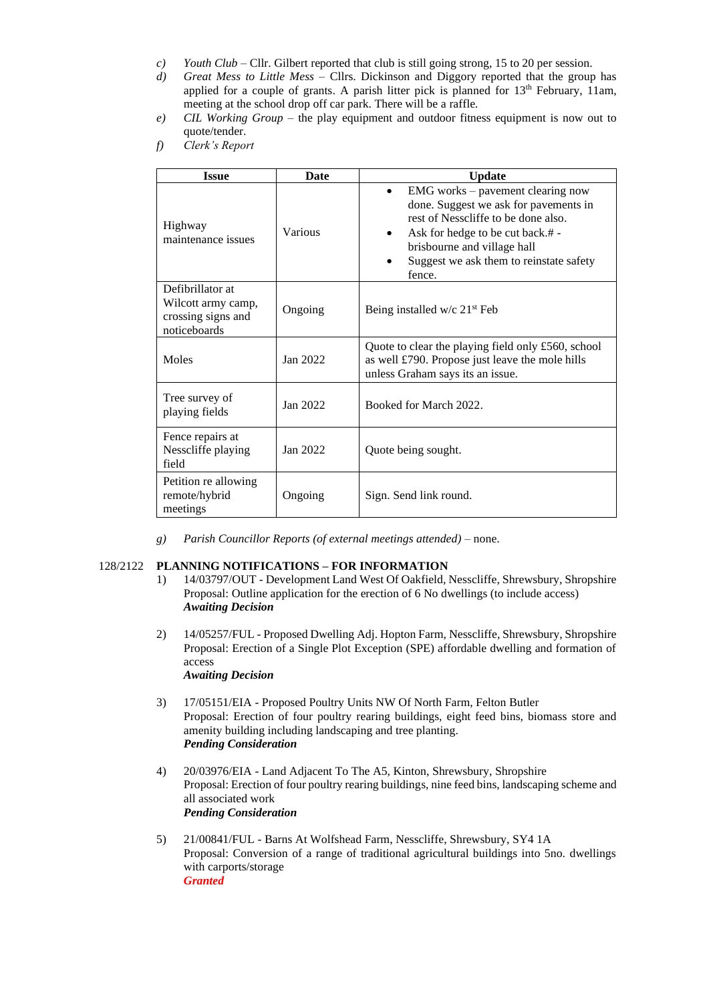- *c*) *Youth Club Cllr.* Gilbert reported that club is still going strong, 15 to 20 per session.
- *d) Great Mess to Little Mess* Cllrs. Dickinson and Diggory reported that the group has applied for a couple of grants. A parish litter pick is planned for  $13<sup>th</sup>$  February, 11am, meeting at the school drop off car park. There will be a raffle.
- *e) CIL Working Group*  the play equipment and outdoor fitness equipment is now out to quote/tender.
- *f) Clerk's Report*

| <b>Issue</b>                                                                 | Date     | <b>Update</b>                                                                                                                                                                                                                                                       |  |  |  |
|------------------------------------------------------------------------------|----------|---------------------------------------------------------------------------------------------------------------------------------------------------------------------------------------------------------------------------------------------------------------------|--|--|--|
| Highway<br>maintenance issues                                                | Various  | EMG works – pavement clearing now<br>$\bullet$<br>done. Suggest we ask for pavements in<br>rest of Nesscliffe to be done also.<br>Ask for hedge to be cut back.# -<br>$\bullet$<br>brisbourne and village hall<br>Suggest we ask them to reinstate safety<br>fence. |  |  |  |
| Defibrillator at<br>Wilcott army camp,<br>crossing signs and<br>noticeboards | Ongoing  | Being installed w/c $21st$ Feb                                                                                                                                                                                                                                      |  |  |  |
| Moles                                                                        | Jan 2022 | Quote to clear the playing field only £560, school<br>as well £790. Propose just leave the mole hills<br>unless Graham says its an issue.                                                                                                                           |  |  |  |
| Tree survey of<br>playing fields                                             | Jan 2022 | Booked for March 2022.                                                                                                                                                                                                                                              |  |  |  |
| Fence repairs at<br>Nesscliffe playing<br>field                              | Jan 2022 | Quote being sought.                                                                                                                                                                                                                                                 |  |  |  |
| Petition re allowing<br>remote/hybrid<br>meetings                            | Ongoing  | Sign. Send link round.                                                                                                                                                                                                                                              |  |  |  |

*g) Parish Councillor Reports (of external meetings attended)* – none.

# 128/2122 **PLANNING NOTIFICATIONS – FOR INFORMATION**

- 1) 14/03797/OUT Development Land West Of Oakfield, Nesscliffe, Shrewsbury, Shropshire Proposal: Outline application for the erection of 6 No dwellings (to include access) *Awaiting Decision*
- 2) 14/05257/FUL Proposed Dwelling Adj. Hopton Farm, Nesscliffe, Shrewsbury, Shropshire Proposal: Erection of a Single Plot Exception (SPE) affordable dwelling and formation of access *Awaiting Decision*
- 3) 17/05151/EIA Proposed Poultry Units NW Of North Farm, Felton Butler Proposal: Erection of four poultry rearing buildings, eight feed bins, biomass store and amenity building including landscaping and tree planting. *Pending Consideration*
- 4) 20/03976/EIA Land Adjacent To The A5, Kinton, Shrewsbury, Shropshire Proposal: Erection of four poultry rearing buildings, nine feed bins, landscaping scheme and all associated work *Pending Consideration*
- 5) 21/00841/FUL Barns At Wolfshead Farm, Nesscliffe, Shrewsbury, SY4 1A Proposal: Conversion of a range of traditional agricultural buildings into 5no. dwellings with carports/storage *Granted*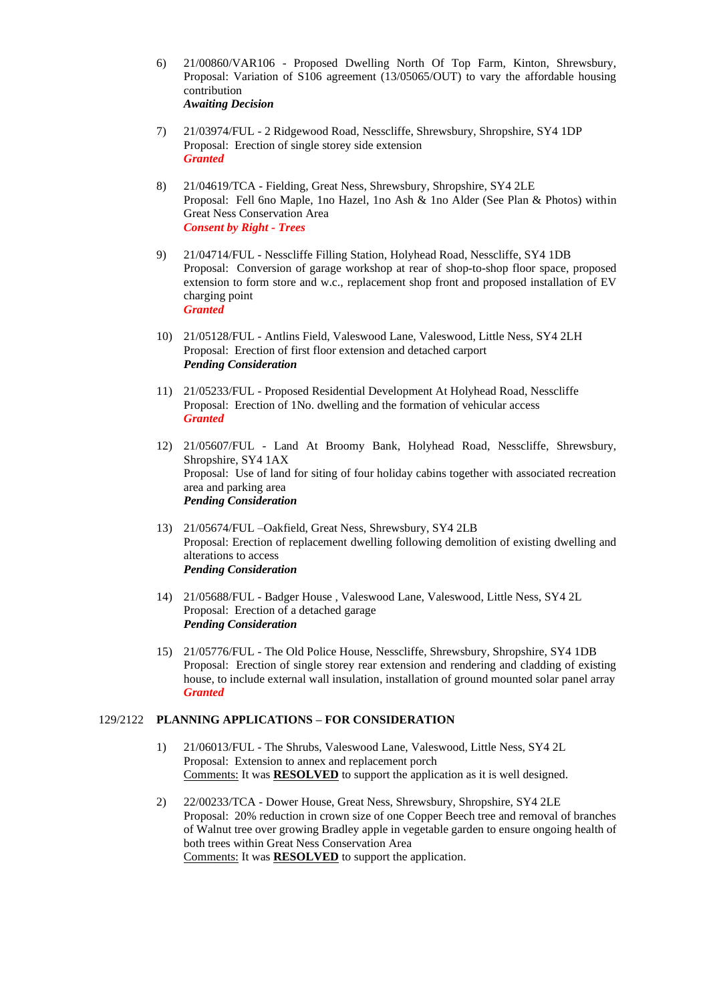- 6) 21/00860/VAR106 Proposed Dwelling North Of Top Farm, Kinton, Shrewsbury, Proposal: Variation of S106 agreement (13/05065/OUT) to vary the affordable housing contribution *Awaiting Decision*
- 7) 21/03974/FUL 2 Ridgewood Road, Nesscliffe, Shrewsbury, Shropshire, SY4 1DP Proposal: Erection of single storey side extension *Granted*
- 8) 21/04619/TCA Fielding, Great Ness, Shrewsbury, Shropshire, SY4 2LE Proposal: Fell 6no Maple, 1no Hazel, 1no Ash & 1no Alder (See Plan & Photos) within Great Ness Conservation Area *Consent by Right - Trees*
- 9) 21/04714/FUL Nesscliffe Filling Station, Holyhead Road, Nesscliffe, SY4 1DB Proposal: Conversion of garage workshop at rear of shop-to-shop floor space, proposed extension to form store and w.c., replacement shop front and proposed installation of EV charging point *Granted*
- 10) 21/05128/FUL Antlins Field, Valeswood Lane, Valeswood, Little Ness, SY4 2LH Proposal: Erection of first floor extension and detached carport *Pending Consideration*
- 11) 21/05233/FUL Proposed Residential Development At Holyhead Road, Nesscliffe Proposal: Erection of 1No. dwelling and the formation of vehicular access *Granted*
- 12) 21/05607/FUL Land At Broomy Bank, Holyhead Road, Nesscliffe, Shrewsbury, Shropshire, SY4 1AX Proposal: Use of land for siting of four holiday cabins together with associated recreation area and parking area *Pending Consideration*
- 13) 21/05674/FUL –Oakfield, Great Ness, Shrewsbury, SY4 2LB Proposal: Erection of replacement dwelling following demolition of existing dwelling and alterations to access *Pending Consideration*
- 14) 21/05688/FUL Badger House , Valeswood Lane, Valeswood, Little Ness, SY4 2L Proposal: Erection of a detached garage *Pending Consideration*
- 15) 21/05776/FUL The Old Police House, Nesscliffe, Shrewsbury, Shropshire, SY4 1DB Proposal: Erection of single storey rear extension and rendering and cladding of existing house, to include external wall insulation, installation of ground mounted solar panel array *Granted*

### 129/2122 **PLANNING APPLICATIONS – FOR CONSIDERATION**

- 1) 21/06013/FUL The Shrubs, Valeswood Lane, Valeswood, Little Ness, SY4 2L Proposal: Extension to annex and replacement porch Comments: It was **RESOLVED** to support the application as it is well designed.
- 2) 22/00233/TCA Dower House, Great Ness, Shrewsbury, Shropshire, SY4 2LE Proposal: 20% reduction in crown size of one Copper Beech tree and removal of branches of Walnut tree over growing Bradley apple in vegetable garden to ensure ongoing health of both trees within Great Ness Conservation Area Comments: It was **RESOLVED** to support the application.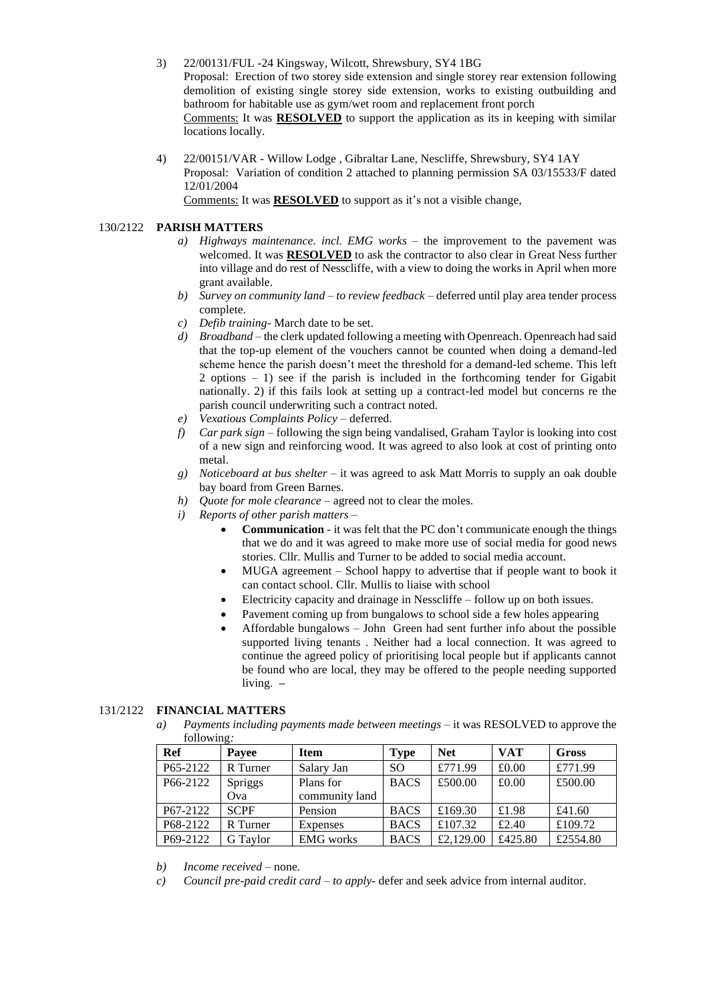- 3) 22/00131/FUL -24 Kingsway, Wilcott, Shrewsbury, SY4 1BG Proposal: Erection of two storey side extension and single storey rear extension following demolition of existing single storey side extension, works to existing outbuilding and bathroom for habitable use as gym/wet room and replacement front porch Comments: It was **RESOLVED** to support the application as its in keeping with similar locations locally.
- 4) 22/00151/VAR Willow Lodge , Gibraltar Lane, Nescliffe, Shrewsbury, SY4 1AY Proposal: Variation of condition 2 attached to planning permission SA 03/15533/F dated 12/01/2004

Comments: It was **RESOLVED** to support as it's not a visible change,

### 130/2122 **PARISH MATTERS**

- *a) Highways maintenance. incl. EMG works –* the improvement to the pavement was welcomed. It was **RESOLVED** to ask the contractor to also clear in Great Ness further into village and do rest of Nesscliffe, with a view to doing the works in April when more grant available.
- *b) Survey on community land – to review feedback* deferred until play area tender process complete.
- *c) Defib training* March date to be set.
- *d) Broadband* the clerk updated following a meeting with Openreach. Openreach had said that the top-up element of the vouchers cannot be counted when doing a demand-led scheme hence the parish doesn't meet the threshold for a demand-led scheme. This left 2 options  $-1$ ) see if the parish is included in the forthcoming tender for Gigabit nationally. 2) if this fails look at setting up a contract-led model but concerns re the parish council underwriting such a contract noted.
- *e) Vexatious Complaints Policy –* deferred.
- *f) Car park sign* following the sign being vandalised, Graham Taylor is looking into cost of a new sign and reinforcing wood. It was agreed to also look at cost of printing onto metal.
- *g) Noticeboard at bus shelter*  it was agreed to ask Matt Morris to supply an oak double bay board from Green Barnes.
- *h) Quote for mole clearance* agreed not to clear the moles.
- *i) Reports of other parish matters*
	- **Communication**  it was felt that the PC don't communicate enough the things that we do and it was agreed to make more use of social media for good news stories. Cllr. Mullis and Turner to be added to social media account.
	- MUGA agreement School happy to advertise that if people want to book it can contact school. Cllr. Mullis to liaise with school
	- Electricity capacity and drainage in Nesscliffe follow up on both issues.
	- Pavement coming up from bungalows to school side a few holes appearing
	- Affordable bungalows John Green had sent further info about the possible supported living tenants . Neither had a local connection. It was agreed to continue the agreed policy of prioritising local people but if applicants cannot be found who are local, they may be offered to the people needing supported living. **–**

## 131/2122 **FINANCIAL MATTERS**

*a) Payments including payments made between meetings* – it was RESOLVED to approve the following*:*

| <b>Ref</b>            | Payee          | <b>Item</b>      | <b>Type</b>   | <b>Net</b> | <b>VAT</b> | Gross    |
|-----------------------|----------------|------------------|---------------|------------|------------|----------|
| P <sub>65</sub> -2122 | R Turner       | Salary Jan       | <sub>SO</sub> | £771.99    | £0.00      | £771.99  |
| P66-2122              | <b>Spriggs</b> | Plans for        | <b>BACS</b>   | £500.00    | £0.00      | £500.00  |
|                       | Ova            | community land   |               |            |            |          |
| P <sub>67</sub> -2122 | <b>SCPF</b>    | Pension          | <b>BACS</b>   | £169.30    | £1.98      | £41.60   |
| P68-2122              | R Turner       | Expenses         | <b>BACS</b>   | £107.32    | £2.40      | £109.72  |
| P69-2122              | G Taylor       | <b>EMG</b> works | <b>BACS</b>   | £2,129.00  | £425.80    | £2554.80 |

*b) Income received* – none.

*c) Council pre-paid credit card – to apply*- defer and seek advice from internal auditor.